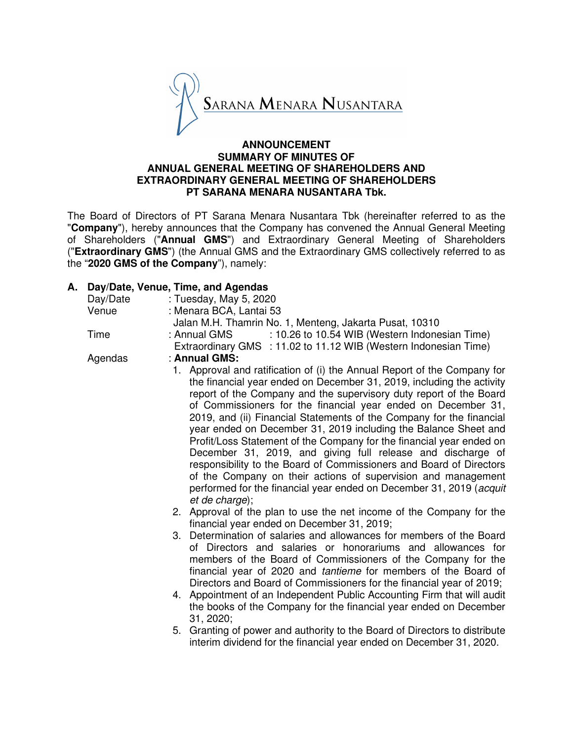

### **ANNOUNCEMENT SUMMARY OF MINUTES OF ANNUAL GENERAL MEETING OF SHAREHOLDERS AND EXTRAORDINARY GENERAL MEETING OF SHAREHOLDERS PT SARANA MENARA NUSANTARA Tbk.**

The Board of Directors of PT Sarana Menara Nusantara Tbk (hereinafter referred to as the "**Company**"), hereby announces that the Company has convened the Annual General Meeting of Shareholders ("**Annual GMS**") and Extraordinary General Meeting of Shareholders ("**Extraordinary GMS**") (the Annual GMS and the Extraordinary GMS collectively referred to as the "**2020 GMS of the Company**"), namely:

### **A. Day/Date, Venue, Time, and Agendas**

| Day/Date | : Tuesday, May 5, 2020                                                                                                                                                                                                                                                                                                                                                                                                                                                                                                                                                                                                                                                                                                                                                                    |
|----------|-------------------------------------------------------------------------------------------------------------------------------------------------------------------------------------------------------------------------------------------------------------------------------------------------------------------------------------------------------------------------------------------------------------------------------------------------------------------------------------------------------------------------------------------------------------------------------------------------------------------------------------------------------------------------------------------------------------------------------------------------------------------------------------------|
| Venue    | : Menara BCA, Lantai 53                                                                                                                                                                                                                                                                                                                                                                                                                                                                                                                                                                                                                                                                                                                                                                   |
|          | Jalan M.H. Thamrin No. 1, Menteng, Jakarta Pusat, 10310                                                                                                                                                                                                                                                                                                                                                                                                                                                                                                                                                                                                                                                                                                                                   |
| Time     | : 10.26 to 10.54 WIB (Western Indonesian Time)<br>: Annual GMS                                                                                                                                                                                                                                                                                                                                                                                                                                                                                                                                                                                                                                                                                                                            |
|          | Extraordinary GMS : 11.02 to 11.12 WIB (Western Indonesian Time)                                                                                                                                                                                                                                                                                                                                                                                                                                                                                                                                                                                                                                                                                                                          |
| Agendas  | : Annual GMS:                                                                                                                                                                                                                                                                                                                                                                                                                                                                                                                                                                                                                                                                                                                                                                             |
|          | 1. Approval and ratification of (i) the Annual Report of the Company for<br>the financial year ended on December 31, 2019, including the activity<br>report of the Company and the supervisory duty report of the Board<br>of Commissioners for the financial year ended on December 31,<br>2019, and (ii) Financial Statements of the Company for the financial<br>year ended on December 31, 2019 including the Balance Sheet and<br>Profit/Loss Statement of the Company for the financial year ended on<br>December 31, 2019, and giving full release and discharge of<br>responsibility to the Board of Commissioners and Board of Directors<br>of the Company on their actions of supervision and management<br>performed for the financial year ended on December 31, 2019 (acquit |
|          | et de charge);                                                                                                                                                                                                                                                                                                                                                                                                                                                                                                                                                                                                                                                                                                                                                                            |
|          | 2. Approval of the plan to use the net income of the Company for the<br>financial year ended on December 31, 2019;                                                                                                                                                                                                                                                                                                                                                                                                                                                                                                                                                                                                                                                                        |
|          | 3. Determination of salaries and allowances for members of the Board<br>of Directors and salaries or honorariums and allowances for<br>members of the Board of Commissioners of the Company for the<br>financial year of 2020 and tantieme for members of the Board of<br>Directors and Board of Commissioners for the financial year of 2019;                                                                                                                                                                                                                                                                                                                                                                                                                                            |
|          | 4. Appointment of an Independent Public Accounting Firm that will audit<br>the books of the Company for the financial year ended on December<br>31, 2020;                                                                                                                                                                                                                                                                                                                                                                                                                                                                                                                                                                                                                                 |
|          | 5. Granting of power and authority to the Board of Directors to distribute<br>interim dividend for the financial year ended on December 31, 2020.                                                                                                                                                                                                                                                                                                                                                                                                                                                                                                                                                                                                                                         |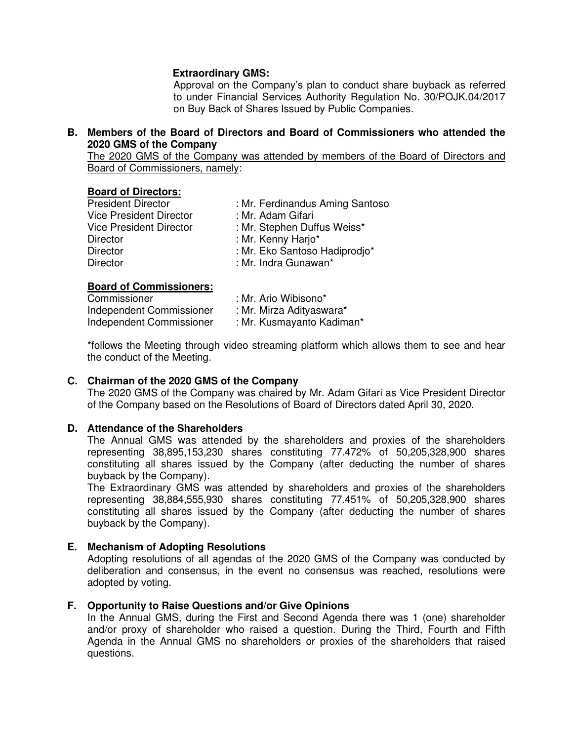### **Extraordinary GMS:**

Approval on the Company's plan to conduct share buyback as referred to under Financial Services Authority Regulation No. 30/POJK.04/2017 on Buy Back of Shares Issued by Public Companies.

**B. Members of the Board of Directors and Board of Commissioners who attended the 2020 GMS of the Company** 

The 2020 GMS of the Company was attended by members of the Board of Directors and Board of Commissioners, namely:

#### **Board of Directors:**

| : Mr. Ferdinandus Aming Santoso |
|---------------------------------|
| : Mr. Adam Gifari               |
| : Mr. Stephen Duffus Weiss*     |
| : Mr. Kenny Harjo*              |
| : Mr. Eko Santoso Hadiprodjo*   |
| : Mr. Indra Gunawan*            |
|                                 |

### **Board of Commissioners:**

| Commissioner             | : Mr. Ario Wibisono*      |
|--------------------------|---------------------------|
| Independent Commissioner | : Mr. Mirza Adityaswara*  |
| Independent Commissioner | : Mr. Kusmayanto Kadiman* |

\*follows the Meeting through video streaming platform which allows them to see and hear the conduct of the Meeting.

### **C. Chairman of the 2020 GMS of the Company**

The 2020 GMS of the Company was chaired by Mr. Adam Gifari as Vice President Director of the Company based on the Resolutions of Board of Directors dated April 30, 2020.

#### **D. Attendance of the Shareholders**

The Annual GMS was attended by the shareholders and proxies of the shareholders representing 38,895,153,230 shares constituting 77.472% of 50,205,328,900 shares constituting all shares issued by the Company (after deducting the number of shares buyback by the Company).

The Extraordinary GMS was attended by shareholders and proxies of the shareholders representing 38,884,555,930 shares constituting 77.451% of 50,205,328,900 shares constituting all shares issued by the Company (after deducting the number of shares buyback by the Company).

### **E. Mechanism of Adopting Resolutions**

Adopting resolutions of all agendas of the 2020 GMS of the Company was conducted by deliberation and consensus, in the event no consensus was reached, resolutions were adopted by voting.

#### **F. Opportunity to Raise Questions and/or Give Opinions**

In the Annual GMS, during the First and Second Agenda there was 1 (one) shareholder and/or proxy of shareholder who raised a question. During the Third, Fourth and Fifth Agenda in the Annual GMS no shareholders or proxies of the shareholders that raised questions.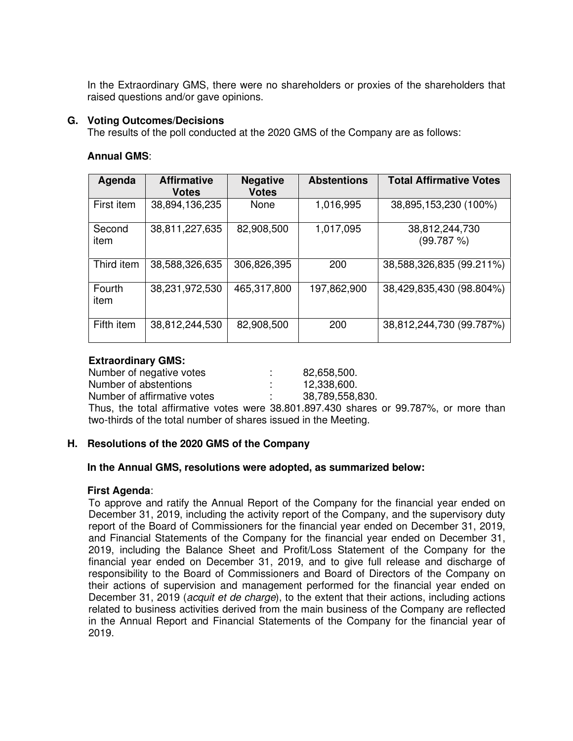In the Extraordinary GMS, there were no shareholders or proxies of the shareholders that raised questions and/or gave opinions.

### **G. Voting Outcomes/Decisions**

The results of the poll conducted at the 2020 GMS of the Company are as follows:

#### **Annual GMS**:

| Agenda         | <b>Affirmative</b><br><b>Votes</b> | <b>Negative</b><br><b>Votes</b> | <b>Abstentions</b> | <b>Total Affirmative Votes</b> |
|----------------|------------------------------------|---------------------------------|--------------------|--------------------------------|
| First item     | 38,894,136,235                     | None                            | 1,016,995          | 38,895,153,230 (100%)          |
| Second<br>item | 38,811,227,635                     | 82,908,500                      | 1,017,095          | 38,812,244,730<br>(99.787%)    |
| Third item     | 38,588,326,635                     | 306,826,395                     | 200                | 38,588,326,835 (99.211%)       |
| Fourth<br>item | 38,231,972,530                     | 465,317,800                     | 197,862,900        | 38,429,835,430 (98.804%)       |
| Fifth item     | 38,812,244,530                     | 82,908,500                      | 200                | 38,812,244,730 (99.787%)       |

### **Extraordinary GMS:**

| Number of negative votes                                                              |  | 82,658,500.     |  |  |  |  |  |
|---------------------------------------------------------------------------------------|--|-----------------|--|--|--|--|--|
| Number of abstentions                                                                 |  | 12,338,600.     |  |  |  |  |  |
| Number of affirmative votes                                                           |  | 38,789,558,830. |  |  |  |  |  |
| Thus, the total affirmative votes were 38.801.897.430 shares or 99.787%, or more than |  |                 |  |  |  |  |  |
| two-thirds of the total number of shares issued in the Meeting.                       |  |                 |  |  |  |  |  |

### **H. Resolutions of the 2020 GMS of the Company**

### **In the Annual GMS, resolutions were adopted, as summarized below:**

### **First Agenda**:

To approve and ratify the Annual Report of the Company for the financial year ended on December 31, 2019, including the activity report of the Company, and the supervisory duty report of the Board of Commissioners for the financial year ended on December 31, 2019, and Financial Statements of the Company for the financial year ended on December 31, 2019, including the Balance Sheet and Profit/Loss Statement of the Company for the financial year ended on December 31, 2019, and to give full release and discharge of responsibility to the Board of Commissioners and Board of Directors of the Company on their actions of supervision and management performed for the financial year ended on December 31, 2019 (*acquit et de charge*), to the extent that their actions, including actions related to business activities derived from the main business of the Company are reflected in the Annual Report and Financial Statements of the Company for the financial year of 2019.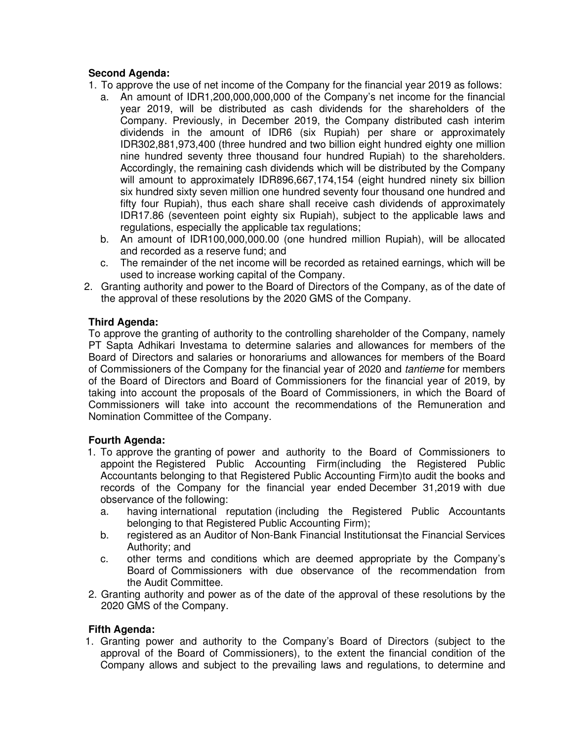## **Second Agenda:**

- 1. To approve the use of net income of the Company for the financial year 2019 as follows:
	- a. An amount of IDR1,200,000,000,000 of the Company's net income for the financial year 2019, will be distributed as cash dividends for the shareholders of the Company. Previously, in December 2019, the Company distributed cash interim dividends in the amount of IDR6 (six Rupiah) per share or approximately IDR302,881,973,400 (three hundred and two billion eight hundred eighty one million nine hundred seventy three thousand four hundred Rupiah) to the shareholders. Accordingly, the remaining cash dividends which will be distributed by the Company will amount to approximately IDR896,667,174,154 (eight hundred ninety six billion six hundred sixty seven million one hundred seventy four thousand one hundred and fifty four Rupiah), thus each share shall receive cash dividends of approximately IDR17.86 (seventeen point eighty six Rupiah), subject to the applicable laws and regulations, especially the applicable tax regulations;
	- b. An amount of IDR100,000,000.00 (one hundred million Rupiah), will be allocated and recorded as a reserve fund; and
	- c. The remainder of the net income will be recorded as retained earnings, which will be used to increase working capital of the Company.
- 2. Granting authority and power to the Board of Directors of the Company, as of the date of the approval of these resolutions by the 2020 GMS of the Company.

## **Third Agenda:**

To approve the granting of authority to the controlling shareholder of the Company, namely PT Sapta Adhikari Investama to determine salaries and allowances for members of the Board of Directors and salaries or honorariums and allowances for members of the Board of Commissioners of the Company for the financial year of 2020 and tantieme for members of the Board of Directors and Board of Commissioners for the financial year of 2019, by taking into account the proposals of the Board of Commissioners, in which the Board of Commissioners will take into account the recommendations of the Remuneration and Nomination Committee of the Company.

# **Fourth Agenda:**

- 1. To approve the granting of power and authority to the Board of Commissioners to appoint the Registered Public Accounting Firm(including the Registered Public Accountants belonging to that Registered Public Accounting Firm)to audit the books and records of the Company for the financial year ended December 31,2019 with due observance of the following:
	- a. having international reputation (including the Registered Public Accountants belonging to that Registered Public Accounting Firm);
	- b. registered as an Auditor of Non-Bank Financial Institutionsat the Financial Services Authority; and
	- c. other terms and conditions which are deemed appropriate by the Company's Board of Commissioners with due observance of the recommendation from the Audit Committee.
- 2. Granting authority and power as of the date of the approval of these resolutions by the 2020 GMS of the Company.

# **Fifth Agenda:**

1. Granting power and authority to the Company's Board of Directors (subject to the approval of the Board of Commissioners), to the extent the financial condition of the Company allows and subject to the prevailing laws and regulations, to determine and